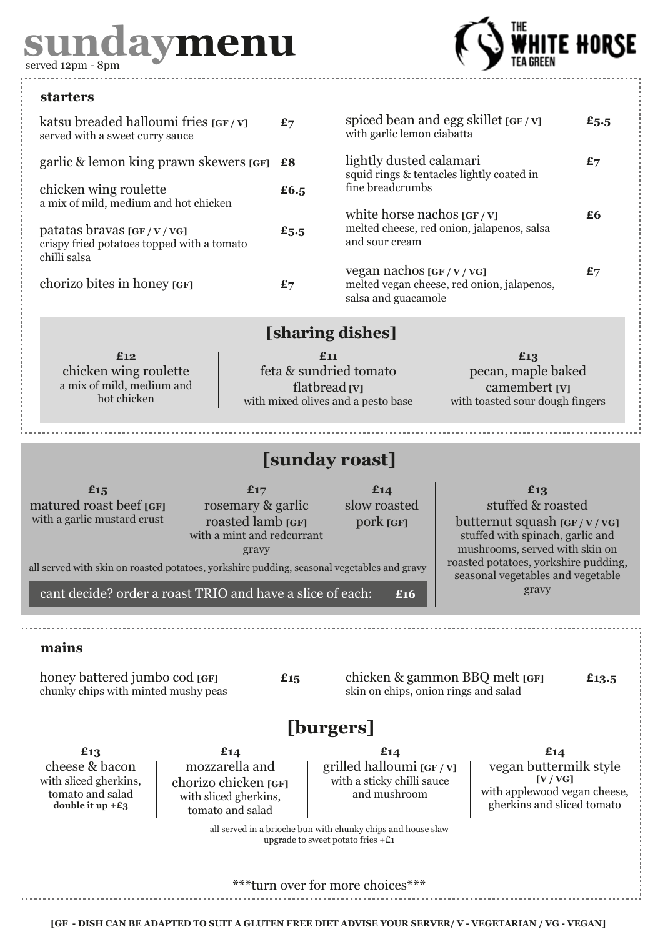# **sundaymenu** served 12pm - 8pm



#### **starters**

| katsu breaded halloumi fries [GF/V]<br>served with a sweet curry sauce                 | £7   |
|----------------------------------------------------------------------------------------|------|
| garlic & lemon king prawn skewers [GF]                                                 | £8   |
| chicken wing roulette<br>a mix of mild, medium and hot chicken                         | £6.5 |
| patatas bravas [GF/V/VG]<br>crispy fried potatoes topped with a tomato<br>chilli salsa | £5.5 |
| chorizo bites in honey [GF]                                                            |      |

| spiced bean and egg skillet $\left[\frac{\text{GF}}{\text{V}}\right]$<br>with garlic lemon ciabatta                          | £5.5 |
|------------------------------------------------------------------------------------------------------------------------------|------|
| lightly dusted calamari<br>squid rings & tentacles lightly coated in<br>fine breadcrumbs                                     | £7   |
| white horse nachos $\left[\frac{\text{GF}}{\text{V}}\right]$<br>melted cheese, red onion, jalapenos, salsa<br>and sour cream | £6   |
| vegan nachos [GF/V/VG]<br>melted vegan cheese, red onion, jalapenos,<br>salsa and guacamole                                  | £7   |

### **[sharing dishes]**

**£12** chicken wing roulette a mix of mild, medium and hot chicken

**£11** feta & sundried tomato flatbread **[V]** with mixed olives and a pesto base

#### **£13** pecan, maple baked camembert **[V]** with toasted sour dough fingers

## **[sunday roast]**

**£15** matured roast beef **[GF]** with a garlic mustard crust

**£17** rosemary & garlic roasted lamb **[GF]** with a mint and redcurrant gravy

**£14** slow roasted pork **[GF]**

#### **£13** stuffed & roasted

butternut squash **[GF / V / VG]** stuffed with spinach, garlic and mushrooms, served with skin on roasted potatoes, yorkshire pudding, seasonal vegetables and vegetable gravy

all served with skin on roasted potatoes, yorkshire pudding, seasonal vegetables and gravy

cant decide? order a roast TRIO and have a slice of each: **£16**

**mains**

honey battered jumbo cod **[GF] £15** chunky chips with minted mushy peas

chicken & gammon BBQ melt **[GF] £13.5** skin on chips, onion rings and salad

## **[burgers]**

**£13** cheese & bacon with sliced gherkins, tomato and salad **double it up +£3**

**£14** mozzarella and chorizo chicken **[GF]** with sliced gherkins, tomato and salad

**£14** grilled halloumi **[GF / V]**  with a sticky chilli sauce and mushroom

**£14** vegan buttermilk style **[V / VG]** with applewood vegan cheese, gherkins and sliced tomato

all served in a brioche bun with chunky chips and house slaw upgrade to sweet potato fries  $+E1$ 

turn over for more choices<sup>\*</sup>